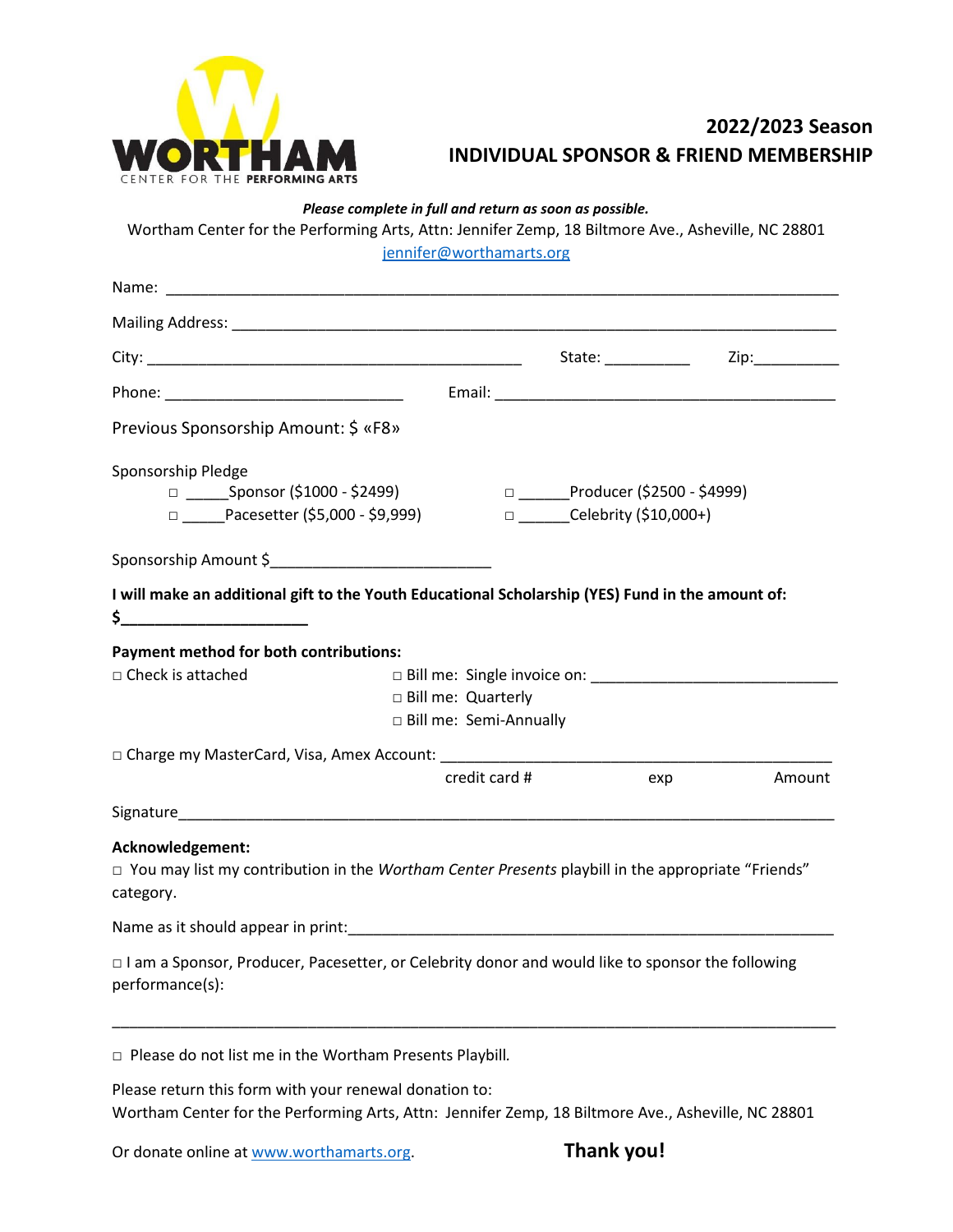

## **2022/2023 Season INDIVIDUAL SPONSOR & FRIEND MEMBERSHIP**

*Please complete in full and return as soon as possible.*

Wortham Center for the Performing Arts, Attn: Jennifer Zemp, 18 Biltmore Ave., Asheville, NC 28801

[jennifer@worthamarts.org](mailto:jennifer@worthamarts.org)

| Name: _<br><u> 1980 - Jan Berlin, mars ann an t-Amhain ann an t-Amhain an t-Amhain an t-Amhain an t-Amhain an t-Amhain an t-</u>                                                                                               |                                                  |               |                                                                      |        |  |  |  |  |
|--------------------------------------------------------------------------------------------------------------------------------------------------------------------------------------------------------------------------------|--------------------------------------------------|---------------|----------------------------------------------------------------------|--------|--|--|--|--|
| Mailing Address: National Address: National Address: National Address: National Address: National Address: National Address: National Address: National Address: National Address: National Address: National Address: Nationa |                                                  |               |                                                                      |        |  |  |  |  |
|                                                                                                                                                                                                                                |                                                  |               | State: National Contract of the State:                               | Zip:   |  |  |  |  |
|                                                                                                                                                                                                                                |                                                  |               |                                                                      |        |  |  |  |  |
| Previous Sponsorship Amount: \$ «F8»                                                                                                                                                                                           |                                                  |               |                                                                      |        |  |  |  |  |
| Sponsorship Pledge<br>□ _______Sponsor (\$1000 - \$2499)<br>$\Box$ Pacesetter (\$5,000 - \$9,999)                                                                                                                              |                                                  |               | □ _______Producer (\$2500 - \$4999)<br>□ ______Celebrity (\$10,000+) |        |  |  |  |  |
| Sponsorship Amount \$                                                                                                                                                                                                          |                                                  |               |                                                                      |        |  |  |  |  |
| I will make an additional gift to the Youth Educational Scholarship (YES) Fund in the amount of:                                                                                                                               |                                                  |               |                                                                      |        |  |  |  |  |
| <b>Payment method for both contributions:</b><br>$\Box$ Check is attached                                                                                                                                                      |                                                  |               |                                                                      |        |  |  |  |  |
|                                                                                                                                                                                                                                | □ Bill me: Quarterly<br>□ Bill me: Semi-Annually |               |                                                                      |        |  |  |  |  |
| □ Charge my MasterCard, Visa, Amex Account:                                                                                                                                                                                    |                                                  |               |                                                                      |        |  |  |  |  |
|                                                                                                                                                                                                                                |                                                  | credit card # | exp                                                                  | Amount |  |  |  |  |
|                                                                                                                                                                                                                                |                                                  |               |                                                                      |        |  |  |  |  |
| Acknowledgement:<br>□ You may list my contribution in the Wortham Center Presents playbill in the appropriate "Friends"<br>category.                                                                                           |                                                  |               |                                                                      |        |  |  |  |  |
|                                                                                                                                                                                                                                |                                                  |               |                                                                      |        |  |  |  |  |
| □ I am a Sponsor, Producer, Pacesetter, or Celebrity donor and would like to sponsor the following<br>performance(s):                                                                                                          |                                                  |               |                                                                      |        |  |  |  |  |
| $\Box$ Please do not list me in the Wortham Presents Playbill.                                                                                                                                                                 |                                                  |               |                                                                      |        |  |  |  |  |

Please return this form with your renewal donation to: Wortham Center for the Performing Arts, Attn: Jennifer Zemp, 18 Biltmore Ave., Asheville, NC 28801

Or donate online a[t www.worthamarts.org.](http://www.worthamarts.org/) **Thank you!**